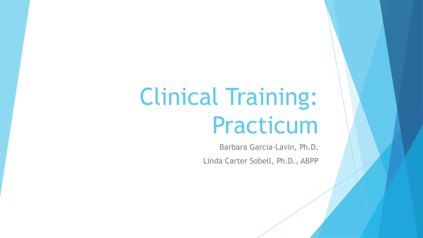# Clinical Training: Practicum

Barbara Garcia-Lavin, Ph.D. Linda Carter Sobell, Ph.D., ABPP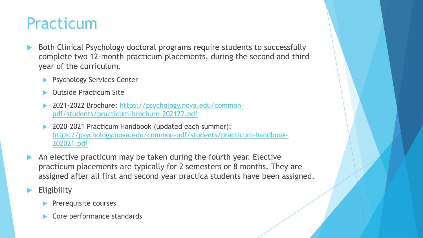### Practicum

- Both Clinical Psychology doctoral programs require students to successfully complete two 12-month practicum placements, during the second and third year of the curriculum.
	- Psychology Services Center
	- Outside Practicum Site
	- [2021-2022 Brochure: https://psychology.nova.edu/common](https://psychology.nova.edu/common-pdf/students/practicum-brochure-202122.pdf)pdf/students/practicum-brochure-202122.pdf
	- 2020-2021 Practicum Handbook (updated each summer): [https://psychology.nova.edu/common-pdf/students/practicum-handbook-](https://psychology.nova.edu/common-pdf/students/practicum-handbook-202021.pdf)202021.pdf
- An elective practicum may be taken during the fourth year. Elective practicum placements are typically for 2 semesters or 8 months. They are assigned after all first and second year practica students have been assigned.
- **Eligibility** 
	- $\blacktriangleright$  Prerequisite courses
	- Core performance standards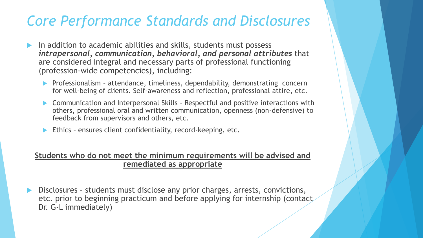### *Core Performance Standards and Disclosures*

- In addition to academic abilities and skills, students must possess *intrapersonal, communication, behavioral, and personal attributes* that are considered integral and necessary parts of professional functioning (profession-wide competencies), including:
	- **Professionalism attendance, timeliness, dependability, demonstrating concern** for well-being of clients. Self-awareness and reflection, professional attire, etc.
	- ▶ Communication and Interpersonal Skills Respectful and positive interactions with others, professional oral and written communication, openness (non-defensive) to feedback from supervisors and others, etc.
	- Ethics ensures client confidentiality, record-keeping, etc.

#### **Students who do not meet the minimum requirements will be advised and remediated as appropriate**

 Disclosures – students must disclose any prior charges, arrests, convictions, etc. prior to beginning practicum and before applying for internship (contact Dr. G-L immediately)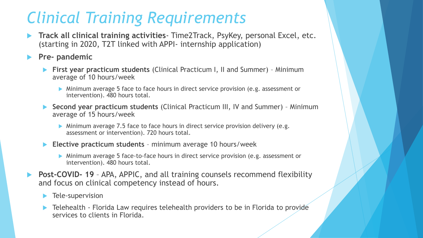### *Clinical Training Requirements*

- **Track all clinical training activities** Time2Track, PsyKey, personal Excel, etc. (starting in 2020, T2T linked with APPI- internship application)
- **Pre- pandemic**
	- **First year practicum students** (Clinical Practicum I, II and Summer) Minimum average of 10 hours/week
		- Minimum average 5 face to face hours in direct service provision (e.g. assessment or intervention). 480 hours total.
	- **Second year practicum students** (Clinical Practicum III, IV and Summer) Minimum average of 15 hours/week
		- Minimum average 7.5 face to face hours in direct service provision delivery (e.g. assessment or intervention). 720 hours total.
	- **Elective practicum students**  minimum average 10 hours/week
		- Minimum average 5 face-to-face hours in direct service provision (e.g. assessment or intervention). 480 hours total.
- **Post-COVID-19** APA, APPIC, and all training counsels recommend flexibility and focus on clinical competency instead of hours.
	- **Tele-supervision**
	- Telehealth Florida Law requires telehealth providers to be in Florida to provide services to clients in Florida.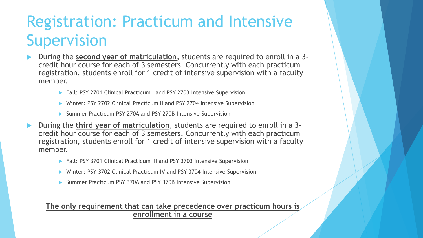# Registration: Practicum and Intensive Supervision

- During the **second year of matriculation**, students are required to enroll in a 3 credit hour course for each of 3 semesters. Concurrently with each practicum registration, students enroll for 1 credit of intensive supervision with a faculty member.
	- ▶ Fall: PSY 2701 Clinical Practicum I and PSY 2703 Intensive Supervision
	- Winter: PSY 2702 Clinical Practicum II and PSY 2704 Intensive Supervision
	- Summer Practicum PSY 270A and PSY 270B Intensive Supervision
- During the **third year of matriculation**, students are required to enroll in a 3 credit hour course for each of 3 semesters. Concurrently with each practicum registration, students enroll for 1 credit of intensive supervision with a faculty member.
	- ▶ Fall: PSY 3701 Clinical Practicum III and PSY 3703 Intensive Supervision
	- Winter: PSY 3702 Clinical Practicum IV and PSY 3704 Intensive Supervision
	- Summer Practicum PSY 370A and PSY 370B Intensive Supervision

#### **The only requirement that can take precedence over practicum hours is enrollment in a course**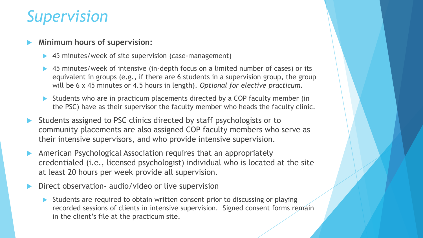### *Supervision*

#### **Minimum hours of supervision:**

- 45 minutes/week of site supervision (case-management)
- 45 minutes/week of intensive (in-depth focus on a limited number of cases) or its equivalent in groups (e.g., if there are 6 students in a supervision group, the group will be 6 x 45 minutes or 4.5 hours in length). *Optional for elective practicum.*
- Students who are in practicum placements directed by a COP faculty member (in the PSC) have as their supervisor the faculty member who heads the faculty clinic.
- Students assigned to PSC clinics directed by staff psychologists or to community placements are also assigned COP faculty members who serve as their intensive supervisors, and who provide intensive supervision.
- American Psychological Association requires that an appropriately credentialed (i.e., licensed psychologist) individual who is located at the site at least 20 hours per week provide all supervision.
- Direct observation- audio/video or live supervision
	- Students are required to obtain written consent prior to discussing or playing recorded sessions of clients in intensive supervision. Signed consent forms remain in the client's file at the practicum site.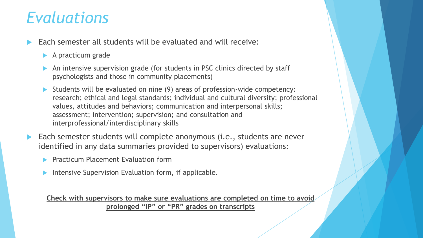### *Evaluations*

- Each semester all students will be evaluated and will receive:
	- A practicum grade
	- An intensive supervision grade (for students in PSC clinics directed by staff psychologists and those in community placements)
	- Students will be evaluated on nine (9) areas of profession-wide competency: research; ethical and legal standards; individual and cultural diversity; professional values, attitudes and behaviors; communication and interpersonal skills; assessment; intervention; supervision; and consultation and interprofessional/interdisciplinary skills
- Each semester students will complete anonymous (i.e., students are never identified in any data summaries provided to supervisors) evaluations:
	- Practicum Placement Evaluation form
	- Intensive Supervision Evaluation form, if applicable.

**Check with supervisors to make sure evaluations are completed on time to avoid prolonged "IP" or "PR" grades on transcripts**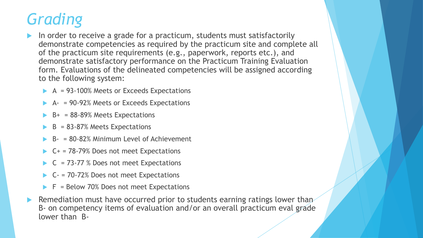# *Grading*

- In order to receive a grade for a practicum, students must satisfactorily demonstrate competencies as required by the practicum site and complete all of the practicum site requirements (e.g., paperwork, reports etc.), and demonstrate satisfactory performance on the Practicum Training Evaluation form. Evaluations of the delineated competencies will be assigned according to the following system:
	- A = 93-100% Meets or Exceeds Expectations
	- A- = 90-92% Meets or Exceeds Expectations
	- B+ = 88-89% Meets Expectations
	- $B = 83 87%$  Meets Expectations
	- B- = 80-82% Minimum Level of Achievement
	- C+ = 78-79% Does not meet Expectations
	- $C = 73-77$  % Does not meet Expectations
	- $C 70 72\%$  Does not meet Expectations
	- F = Below 70% Does not meet Expectations
- Remediation must have occurred prior to students earning ratings lower than B- on competency items of evaluation and/or an overall practicum eval grade lower than B-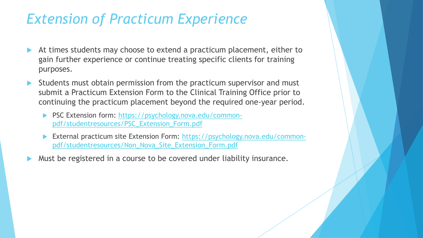### *Extension of Practicum Experience*

- At times students may choose to extend a practicum placement, either to gain further experience or continue treating specific clients for training purposes.
- Students must obtain permission from the practicum supervisor and must submit a Practicum Extension Form to the Clinical Training Office prior to continuing the practicum placement beyond the required one-year period.
	- ▶ [PSC Extension form: https://psychology.nova.edu/common](https://psychology.nova.edu/common-pdf/studentresources/PSC_Extension_Form.pdf)pdf/studentresources/PSC\_Extension\_Form.pdf
	- [External practicum site Extension Form: https://psychology.nova.edu/common](https://psychology.nova.edu/common-pdf/studentresources/Non_Nova_Site_Extension_Form.pdf)pdf/studentresources/Non\_Nova\_Site\_Extension\_Form.pdf
- Must be registered in a course to be covered under liability insurance.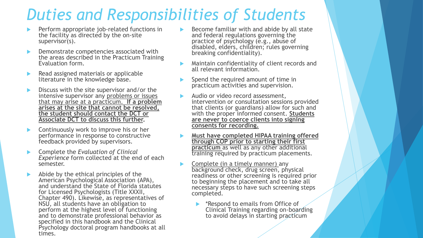### *Duties and Responsibilities of Students*

- Perform appropriate job-related functions in the facility as directed by the on-site supervisor(s).
- Demonstrate competencies associated with the areas described in the Practicum Training Evaluation form.
- Read assigned materials or applicable literature in the knowledge base.
- Discuss with the site supervisor and/or the intensive supervisor any problems or issues that may arise at a practicum. **If a problem arises at the site that cannot be resolved, the student should contact the DCT or Associate DCT to discuss this further.**
- Continuously work to improve his or her performance in response to constructive feedback provided by supervisors.
- Complete the *Evaluation of Clinical Experience* form collected at the end of each semester.
- Abide by the ethical principles of the American Psychological Association (APA), and understand the State of Florida statutes for Licensed Psychologists (Title XXXII, Chapter 490). Likewise, as representatives of NSU, all students have an obligation to perform at the highest level of functioning and to demonstrate professional behavior as specified in this handbook and the Clinical Psychology doctoral program handbooks at all times.
- Become familiar with and abide by all state and federal regulations governing the practice of psychology (e.g., abuse of disabled, elders, children; rules governing breaking confidentiality).
- Maintain confidentiality of client records and all relevant information.
- Spend the required amount of time in practicum activities and supervision.
- Audio or video record assessment, intervention or consultation sessions provided that clients (or guardians) allow for such and with the proper informed consent. **Students are never to coerce clients into signing consents for recording.**
- **Must have completed HIPAA training offered through COP prior to starting their first practicum** as well as any other additional training required by practicum placements.
- Complete (in a timely manner) any background check, drug screen, physical readiness or other screening is required prior to beginning the placement and to take all necessary steps to have such screening steps completed.
	- \*Respond to emails from Office of Clinical Training regarding on-boarding to avoid delays in starting practicum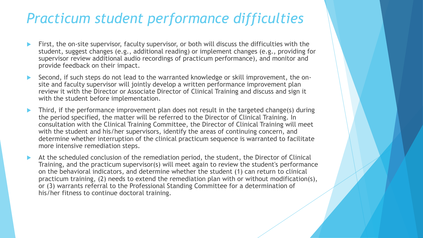### *Practicum student performance difficulties*

- First, the on-site supervisor, faculty supervisor, or both will discuss the difficulties with the student, suggest changes (e.g., additional reading) or implement changes (e.g., providing for supervisor review additional audio recordings of practicum performance), and monitor and provide feedback on their impact.
- Second, if such steps do not lead to the warranted knowledge or skill improvement, the onsite and faculty supervisor will jointly develop a written performance improvement plan review it with the Director or Associate Director of Clinical Training and discuss and sign it with the student before implementation.
- Third, if the performance improvement plan does not result in the targeted change(s) during the period specified, the matter will be referred to the Director of Clinical Training. In consultation with the Clinical Training Committee, the Director of Clinical Training will meet with the student and his/her supervisors, identify the areas of continuing concern, and determine whether interruption of the clinical practicum sequence is warranted to facilitate more intensive remediation steps.
- At the scheduled conclusion of the remediation period, the student, the Director of Clinical Training, and the practicum supervisor(s) will meet again to review the student's performance on the behavioral indicators, and determine whether the student (1) can return to clinical practicum training, (2) needs to extend the remediation plan with or without modification(s), or (3) warrants referral to the Professional Standing Committee for a determination of his/her fitness to continue doctoral training.